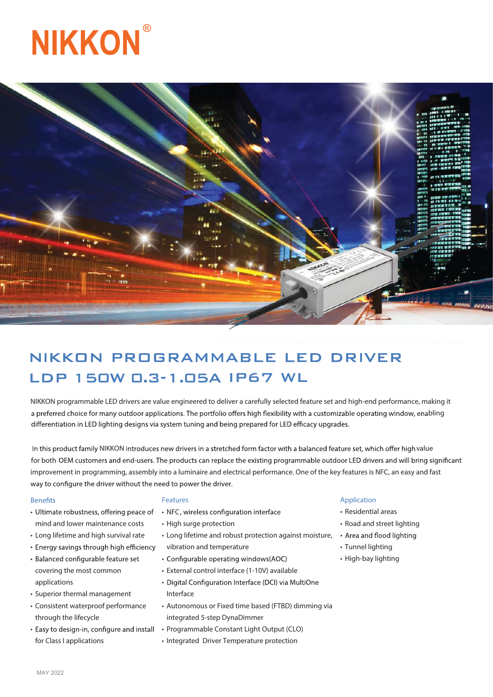# **NIKKON**



# NIKKON PROGRAMMABLE LED DRIVER LDP 150W 0.3-1.05A IP67 WL

NIKKON programmable LED drivers are value engineered to deliver a carefully selected feature set and high-end performance, making it a preferred choice for many outdoor applications. The portfolio offers high flexibility with a customizable operating window, enabling differentiation in LED lighting designs via system tuning and being prepared for LED efficacy upgrades.

NIKKON introduces new drivers in a stretched form factor with a balanced feature set, which offer high value for both OEM customers and end-users. The products can replace the existing programmable outdoor LED drivers and will bring significant improvement in programming, assembly into a luminaire and electrical performance. One of the key features is NFC, an easy and fast way to configure the driver without the need to power the driver.

#### **Benefits**

- Ultimate robustness, offering peace of mind and lower maintenance costs
- Long lifetime and high survival rate
- Energy savings through high efficiency
- Balanced configurable feature set covering the most common applications
- Superior thermal management
- Consistent waterproof performance through the lifecycle
- Easy to design-in, configure and install for Class I applications

#### **Features**

- NFC, wireless configuration interface
- High surge protection
- Long lifetime and robust protection against moisture, vibration and temperature
- Configurable operating windows(AOC)
- External control interface (1-10V) available
- Digital Configuration Interface (DCI) via MultiOne Interface
- Autonomous or Fixed time based (FTBD) dimming via integrated 5-step DynaDimmer
- Programmable Constant Light Output (CLO)
- Integrated Driver Temperature protection

#### **Application**

- Residential areas
- Road and street lighting
- Area and flood lighting
- Tunnel lighting
- High-bay lighting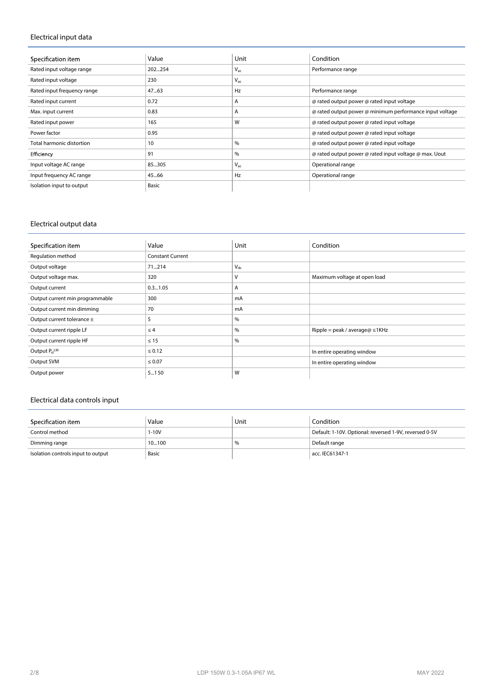# **Electrical input data**

| Specification item          | Value  | Unit     | Condition                                                |
|-----------------------------|--------|----------|----------------------------------------------------------|
| Rated input voltage range   | 202254 | $V_{ac}$ | Performance range                                        |
| Rated input voltage         | 230    | $V_{ac}$ |                                                          |
| Rated input frequency range | 47.63  | Hz       | Performance range                                        |
| Rated input current         | 0.72   | Α        | @ rated output power @ rated input voltage               |
| Max. input current          | 0.83   | A        | @ rated output power @ minimum performance input voltage |
| Rated input power           | 165    | W        | @ rated output power @ rated input voltage               |
| Power factor                | 0.95   |          | @ rated output power @ rated input voltage               |
| Total harmonic distortion   | 10     | %        | @ rated output power @ rated input voltage               |
| Efficiency                  | 91     | %        | @ rated output power @ rated input voltage @ max. Uout   |
| Input voltage AC range      | 85305  | $V_{ac}$ | Operational range                                        |
| Input frequency AC range    | 45.66  | Hz       | Operational range                                        |
| Isolation input to output   | Basic  |          |                                                          |

# **Electrical output data**

| Specification item              | Value                   | Unit     | Condition                            |
|---------------------------------|-------------------------|----------|--------------------------------------|
| Regulation method               | <b>Constant Current</b> |          |                                      |
| Output voltage                  | 71214                   | $V_{dc}$ |                                      |
| Output voltage max.             | 320                     | v        | Maximum voltage at open load         |
| Output current                  | 0.31.05                 | Α        |                                      |
| Output current min programmable | 300                     | mA       |                                      |
| Output current min dimming      | 70                      | mA       |                                      |
| Output current tolerance ±      | 5                       | %        |                                      |
| Output current ripple LF        | $\leq$ 4                | %        | Ripple = peak / average@ $\leq$ 1KHz |
| Output current ripple HF        | $\leq 15$               | %        |                                      |
| Output $P_{st}$ <sup>LM</sup>   | $\leq 0.12$             |          | In entire operating window           |
| Output SVM                      | $\leq 0.07$             |          | In entire operating window           |
| Output power                    | 5150                    | W        |                                      |

# **Electrical data controls input**

| Specification item                 | Value | Unit | Condition                                              |
|------------------------------------|-------|------|--------------------------------------------------------|
| Control method                     | 1-10V |      | Default: 1-10V. Optional: reversed 1-9V, reversed 0-5V |
| Dimming range                      | 10100 | %    | Default range                                          |
| Isolation controls input to output | Basic |      | acc. IEC61347-1                                        |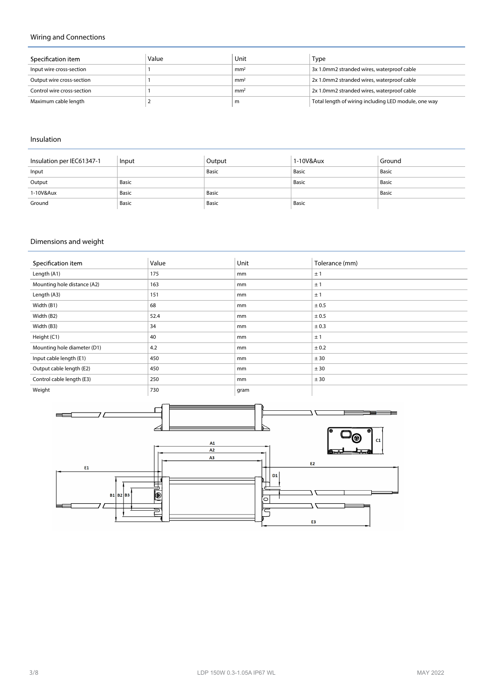# **Wiring and Connections**

| Specification item         | Value | Unit            | Type                                                 |
|----------------------------|-------|-----------------|------------------------------------------------------|
| Input wire cross-section   |       | mm <sup>2</sup> | 3x 1.0mm2 stranded wires, waterproof cable           |
| Output wire cross-section  |       | mm <sup>2</sup> | 2x 1.0mm2 stranded wires, waterproof cable           |
| Control wire cross-section |       | mm <sup>2</sup> | 2x 1.0mm2 stranded wires, waterproof cable           |
| Maximum cable length       |       | m               | Total length of wiring including LED module, one way |

#### **Insulation**

| Insulation per IEC61347-1 | Input | Output | 1-10V&Aux | Ground |
|---------------------------|-------|--------|-----------|--------|
| Input                     |       | Basic  | Basic     | Basic  |
| Output                    | Basic |        | Basic     | Basic  |
| 1-10V&Aux                 | Basic | Basic  |           | Basic  |
| Ground                    | Basic | Basic  | Basic     |        |

# **Dimensions and weight**

| Specification item          | Value | Unit | Tolerance (mm) |
|-----------------------------|-------|------|----------------|
| Length (A1)                 | 175   | mm   | ±1             |
| Mounting hole distance (A2) | 163   | mm   | ±1             |
| Length (A3)                 | 151   | mm   | ±1             |
| Width (B1)                  | 68    | mm   | ± 0.5          |
| Width (B2)                  | 52.4  | mm   | ± 0.5          |
| Width (B3)                  | 34    | mm   | ± 0.3          |
| Height (C1)                 | 40    | mm   | ±1             |
| Mounting hole diameter (D1) | 4.2   | mm   | ± 0.2          |
| Input cable length (E1)     | 450   | mm   | ± 30           |
| Output cable length (E2)    | 450   | mm   | ± 30           |
| Control cable length (E3)   | 250   | mm   | ± 30           |
| Weight                      | 730   | gram |                |

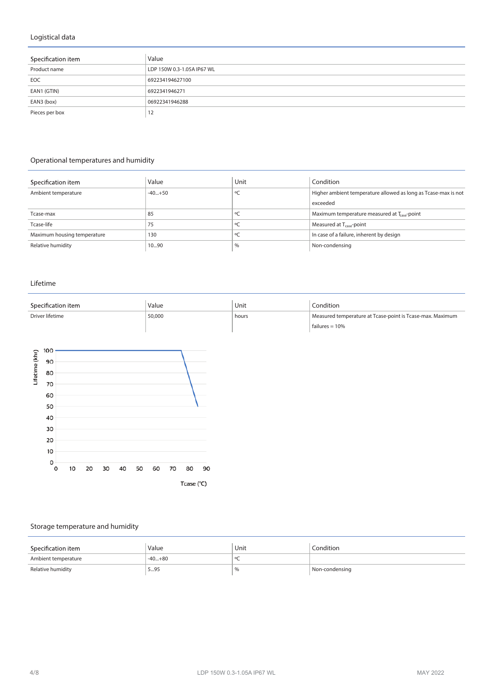# **Logistical data**

| Specification item | Value                      |
|--------------------|----------------------------|
| Product name       | LDP 150W 0.3-1.05A IP67 WL |
| EOC                | 692234194627100            |
| EAN1 (GTIN)        | 6922341946271              |
| EAN3 (box)         | 06922341946288             |
| Pieces per box     | 12                         |

# **Operational temperatures and humidity**

| Specification item          | Value    | Unit    | Condition                                                      |
|-----------------------------|----------|---------|----------------------------------------------------------------|
| Ambient temperature         | $-40+50$ | °C      | Higher ambient temperature allowed as long as Tcase-max is not |
|                             |          |         | exceeded                                                       |
| Tcase-max                   | 85       |         | Maximum temperature measured at T <sub>esse</sub> -point       |
| Tcase-life                  | 75       | ٥C      | Measured at T <sub>case</sub> -point                           |
| Maximum housing temperature | 130      | $\circ$ | In case of a failure, inherent by design                       |
| Relative humidity           | 1090     | %       | Non-condensing                                                 |

#### **Lifetime**

| Specification item | Value  | Unit  | Condition                                                                     |
|--------------------|--------|-------|-------------------------------------------------------------------------------|
| Driver lifetime    | 50,000 | hours | Measured temperature at Tcase-point is Tcase-max. Maximum<br>failures = $10%$ |



# **Storage temperature and humidity**

| Specification item  | Value    | Unit | Condition      |
|---------------------|----------|------|----------------|
| Ambient temperature | $-40+80$ |      |                |
| Relative humidity   | 595      | $\%$ | Non-condensing |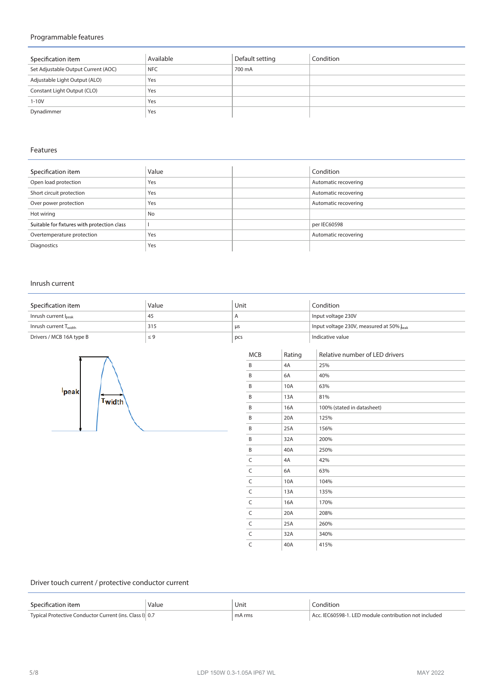# **Programmable features**

| Specification item                  | Available  | Default setting | Condition |
|-------------------------------------|------------|-----------------|-----------|
| Set Adjustable Output Current (AOC) | <b>NFC</b> | 700 mA          |           |
| Adjustable Light Output (ALO)       | Yes        |                 |           |
| Constant Light Output (CLO)         | Yes        |                 |           |
| $1 - 10V$                           | Yes        |                 |           |
| Dynadimmer                          | Yes        |                 |           |

# **Features**

| Specification item                          | Value     | Condition            |
|---------------------------------------------|-----------|----------------------|
| Open load protection                        | Yes       | Automatic recovering |
| Short circuit protection                    | Yes       | Automatic recovering |
| Over power protection                       | Yes       | Automatic recovering |
| Hot wiring                                  | <b>No</b> |                      |
| Suitable for fixtures with protection class |           | per IEC60598         |
| Overtemperature protection                  | Yes       | Automatic recovering |
| Diagnostics                                 | Yes       |                      |

#### **Inrush current**

| Specification item                | Value    | Unit      | Condition                                |
|-----------------------------------|----------|-----------|------------------------------------------|
| Inrush current l <sub>peak</sub>  | 45       |           | Input voltage 230V                       |
| Inrush current T <sub>width</sub> | 315      | <b>us</b> | Input voltage 230V, measured at 50% beak |
| Drivers / MCB 16A type B          | $\leq 9$ | pcs       | Indicative value                         |



|            |        | mput voltage 250 v, measured at 50 % <sub>beak</sub> |
|------------|--------|------------------------------------------------------|
|            |        | Indicative value                                     |
| <b>MCB</b> | Rating | Relative number of LED drivers                       |
| B          | 4A     | 25%                                                  |
| B          | 6A     | 40%                                                  |
| B          | 10A    | 63%                                                  |
| B          | 13A    | 81%                                                  |
| B          | 16A    | 100% (stated in datasheet)                           |
| B          | 20A    | 125%                                                 |
| B          | 25A    | 156%                                                 |
| B          | 32A    | 200%                                                 |
| B          | 40A    | 250%                                                 |
| C          | 4A     | 42%                                                  |
| C          | 6A     | 63%                                                  |
| C          | 10A    | 104%                                                 |
| C          | 13A    | 135%                                                 |
| C          | 16A    | 170%                                                 |
| C          | 20A    | 208%                                                 |
| C          | 25A    | 260%                                                 |
| C          | 32A    | 340%                                                 |
| C          | 40A    | 415%                                                 |

# **Driver touch current / protective conductor current**

| Specification item                                      | Value | Unit   | .onditior                                      |
|---------------------------------------------------------|-------|--------|------------------------------------------------|
|                                                         | .     |        | .                                              |
| Typical Protective Conductor Current (ins. Class I) 0.7 |       | mA rms | C60598-1. LED module contribution not included |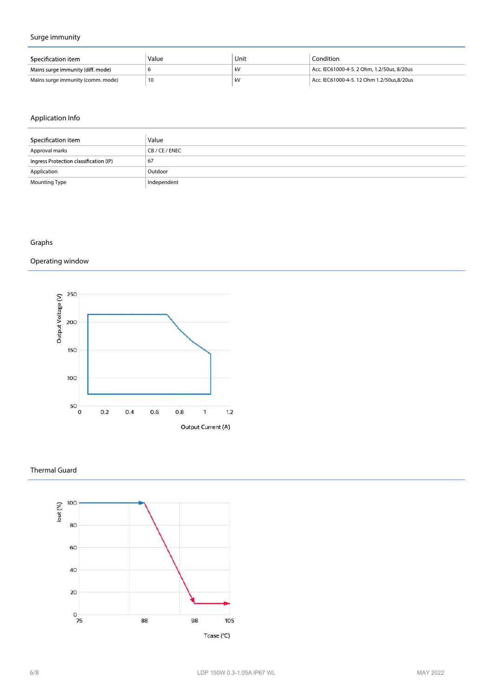# **Surge immunity**

| Specification item                | Value | Unit | Condition                                  |
|-----------------------------------|-------|------|--------------------------------------------|
| Mains surge immunity (diff. mode) |       | kV   | Acc. IEC61000-4-5. 2 Ohm. 1.2/50us. 8/20us |
| Mains surge immunity (comm. mode) |       | kV   | Acc. IEC61000-4-5. 12 Ohm 1.2/50us.8/20us  |

# **Application Info**

| Specification item                     | Value       |
|----------------------------------------|-------------|
| Approval marks                         | CB/CE/ENEC  |
| Ingress Protection classification (IP) | 67          |
| Application                            | Outdoor     |
| <b>Mounting Type</b>                   | Independent |

# **Graphs**

# **Operating window**



#### **Thermal Guard**

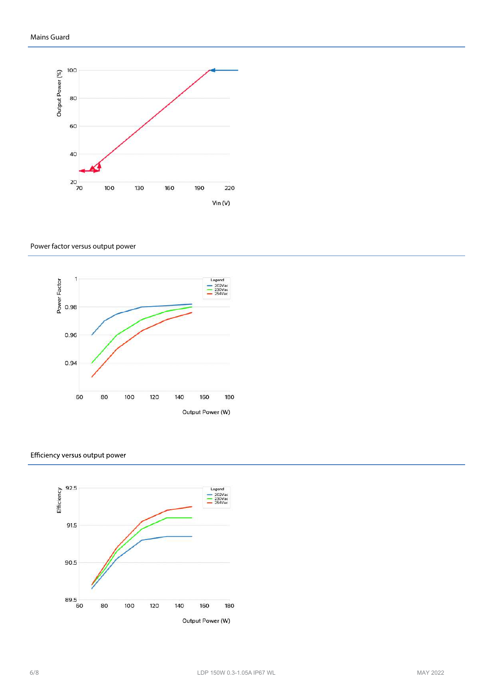

#### **Power factor versus output power**



#### Efficiency versus output power